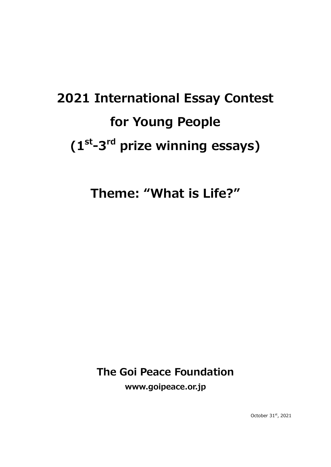# **2021 International Essay Contest for Young People (1st-3rd prize winning essays)**

**Theme: "What is Life?"** 

**The Goi Peace Foundation**

**www.goipeace.or.jp**

October 31st, 2021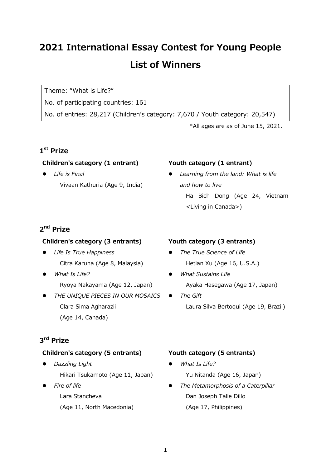# **2021 International Essay Contest for Young People List of Winners**

Theme: "What is Life?"

No. of participating countries: 161

No. of entries: 28,217 (Children's category: 7,670 / Youth category: 20,547)

\*All ages are as of June 15, 2021.

# **1st Prize**

## **Children's category (1 entrant)**

 *Life is Final* Vivaan Kathuria (Age 9, India)

# **2nd Prize**

#### **Children's category (3 entrants)**

- *Life Is True Happiness* Citra Karuna (Age 8, Malaysia)
- *What Is Life?* Ryoya Nakayama (Age 12, Japan)
- *THE UNIQUE PIECES IN OUR MOSAICS* Clara Sima Agharazii (Age 14, Canada)

# **3rd Prize**

# **Children's category (5 entrants)**

- *Dazzling Light* Hikari Tsukamoto (Age 11, Japan)
	- *Fire of life* Lara Stancheva (Age 11, North Macedonia)

# **Youth category (1 entrant)**

 *Learning from the land: What is life and how to live* Ha Bich Dong (Age 24, Vietnam <Living in Canada>)

# **Youth category (3 entrants)**

- *The True Science of Life* Hetian Xu (Age 16, U.S.A.)
- *What Sustains Life* Ayaka Hasegawa (Age 17, Japan)
- **•** *The Gift* Laura Silva Bertoqui (Age 19, Brazil)

# **Youth category (5 entrants)**

- *What Is Life?* Yu Nitanda (Age 16, Japan)
- *The Metamorphosis of a Caterpillar* Dan Joseph Talle Dillo (Age 17, Philippines)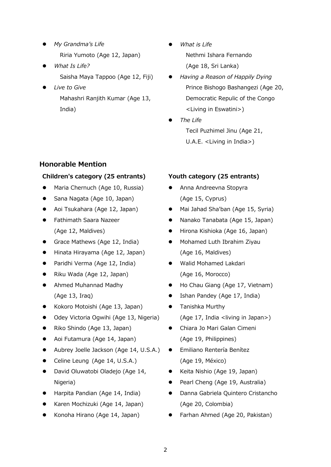- *My Grandma's Life* Riria Yumoto (Age 12, Japan)
- *What Is Life?* Saisha Maya Tappoo (Age 12, Fiji)
	- *Live to Give* Mahashri Ranjith Kumar (Age 13, India)
- *What is Life* Nethmi Ishara Fernando (Age 18, Sri Lanka)
- *Having a Reason of Happily Dying* Prince Bishogo Bashangezi (Age 20, Democratic Repulic of the Congo <Living in Eswatini>)
- *The Life* Tecil Puzhimel Jinu (Age 21, U.A.E. <Living in India>)

# **Honorable Mention**

## **Children's category (25 entrants)**

- Maria Chernuch (Age 10, Russia)
- Sana Nagata (Age 10, Japan)
- Aoi Tsukahara (Age 12, Japan)
- Fathimath Saara Nazeer (Age 12, Maldives)
- Grace Mathews (Age 12, India)
- Hinata Hirayama (Age 12, Japan)
- Paridhi Verma (Age 12, India)
- Riku Wada (Age 12, Japan)
- Ahmed Muhannad Madhy (Age 13, Iraq)
- Kokoro Motoishi (Age 13, Japan)
- **•** Odey Victoria Ogwihi (Age 13, Nigeria)
- Riko Shindo (Age 13, Japan)
- Aoi Futamura (Age 14, Japan)
- Aubrey Joelle Jackson (Age 14, U.S.A.)
- Celine Leung (Age 14, U.S.A.)
- **•** David Oluwatobi Oladejo (Age 14, Nigeria)
- Harpita Pandian (Age 14, India)
- Karen Mochizuki (Age 14, Japan)
- Konoha Hirano (Age 14, Japan)

# **Youth category (25 entrants)**

- Anna Andreevna Stopyra (Age 15, Cyprus)
- Mai Jahad Sha'ban (Age 15, Syria)
- Nanako Tanabata (Age 15, Japan)
- Hirona Kishioka (Age 16, Japan)
- **•** Mohamed Luth Ibrahim Ziyau (Age 16, Maldives)
- Walid Mohamed Lakdari (Age 16, Morocco)
- Ho Chau Giang (Age 17, Vietnam)
- Ishan Pandey (Age 17, India)
- Tanishka Murthy (Age 17, India <living in Japan>)
- Chiara Jo Mari Galan Cimeni (Age 19, Philippines)
- Emiliano Rentería Benítez (Age 19, México)
- Keita Nishio (Age 19, Japan)
- Pearl Cheng (Age 19, Australia)
- Danna Gabriela Quintero Cristancho (Age 20, Colombia)
- Farhan Ahmed (Age 20, Pakistan)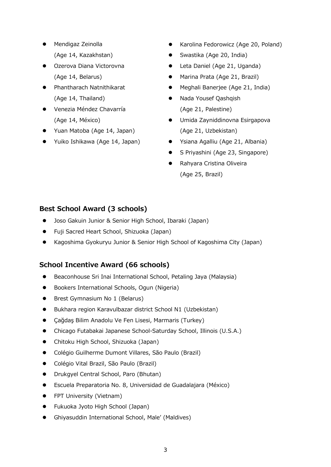- Mendigaz Zeinolla (Age 14, Kazakhstan)
- **•** Ozerova Diana Victorovna (Age 14, Belarus)
- Phantharach Natnithikarat (Age 14, Thailand)
- Venezia Méndez Chavarría (Age 14, México)
- Yuan Matoba (Age 14, Japan)
- Yuiko Ishikawa (Age 14, Japan)
- Karolina Fedorowicz (Age 20, Poland)
- Swastika (Age 20, India)
- Leta Daniel (Age 21, Uganda)
- Marina Prata (Age 21, Brazil)
- Meghali Banerjee (Age 21, India)
- Nada Yousef Qashqish (Age 21, Palestine)
- Umida Zayniddinovna Esirgapova (Age 21, Uzbekistan)
- Ysiana Agalliu (Age 21, Albania)
- S Priyashini (Age 23, Singapore)
- Rahyara Cristina Oliveira (Age 25, Brazil)

# **Best School Award (3 schools)**

- Joso Gakuin Junior & Senior High School, Ibaraki (Japan)
- Fuji Sacred Heart School, Shizuoka (Japan)
- Kagoshima Gyokuryu Junior & Senior High School of Kagoshima City (Japan)

# **School Incentive Award (66 schools)**

- Beaconhouse Sri Inai International School, Petaling Jaya (Malaysia)
- Bookers International Schools, Ogun (Nigeria)
- **Brest Gymnasium No 1 (Belarus)**
- Bukhara region Karavulbazar district School N1 (Uzbekistan)
- Çağdaş Bilim Anadolu Ve Fen Lisesi, Marmaris (Turkey)
- Chicago Futabakai Japanese School-Saturday School, Illinois (U.S.A.)
- Chitoku High School, Shizuoka (Japan)
- Colégio Guilherme Dumont Villares, São Paulo (Brazil)
- Colégio Vital Brazil, São Paulo (Brazil)
- Drukgyel Central School, Paro (Bhutan)
- Escuela Preparatoria No. 8, Universidad de Guadalajara (México)
- **•** FPT University (Vietnam)
- Fukuoka Jyoto High School (Japan)
- Ghiyasuddin International School, Male' (Maldives)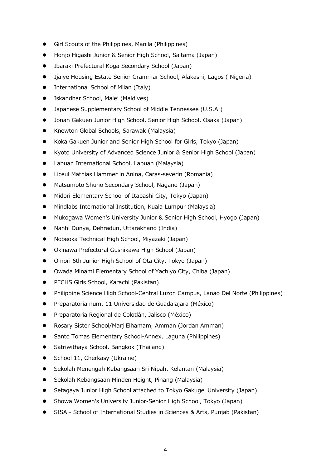- Girl Scouts of the Philippines, Manila (Philippines)
- Honjo Higashi Junior & Senior High School, Saitama (Japan)
- Ibaraki Prefectural Koga Secondary School (Japan)
- Ijaiye Housing Estate Senior Grammar School, Alakashi, Lagos ( Nigeria)
- International School of Milan (Italy)
- Iskandhar School, Male' (Maldives)
- Japanese Supplementary School of Middle Tennessee (U.S.A.)
- Jonan Gakuen Junior High School, Senior High School, Osaka (Japan)
- **Knewton Global Schools, Sarawak (Malaysia)**
- Koka Gakuen Junior and Senior High School for Girls, Tokyo (Japan)
- Kyoto University of Advanced Science Junior & Senior High School (Japan)
- Labuan International School, Labuan (Malaysia)
- Liceul Mathias Hammer in Anina, Caras-severin (Romania)
- Matsumoto Shuho Secondary School, Nagano (Japan)
- Midori Elementary School of Itabashi City, Tokyo (Japan)
- Mindlabs International Institution, Kuala Lumpur (Malaysia)
- Mukogawa Women's University Junior & Senior High School, Hyogo (Japan)
- Nanhi Dunya, Dehradun, Uttarakhand (India)
- Nobeoka Technical High School, Miyazaki (Japan)
- Okinawa Prefectural Gushikawa High School (Japan)
- Omori 6th Junior High School of Ota City, Tokyo (Japan)
- Owada Minami Elementary School of Yachiyo City, Chiba (Japan)
- PECHS Girls School, Karachi (Pakistan)
- Philippine Science High School-Central Luzon Campus, Lanao Del Norte (Philippines)
- Preparatoria num. 11 Universidad de Guadalajara (México)
- Preparatoria Regional de Colotlán, Jalisco (México)
- Rosary Sister School/Marj Elhamam, Amman (Jordan Amman)
- Santo Tomas Elementary School-Annex, Laguna (Philippines)
- Satriwithaya School, Bangkok (Thailand)
- School 11, Cherkasy (Ukraine)
- Sekolah Menengah Kebangsaan Sri Nipah, Kelantan (Malaysia)
- Sekolah Kebangsaan Minden Height, Pinang (Malaysia)
- Setagaya Junior High School attached to Tokyo Gakugei University (Japan)
- Showa Women's University Junior-Senior High School, Tokyo (Japan)
- SISA School of International Studies in Sciences & Arts, Punjab (Pakistan)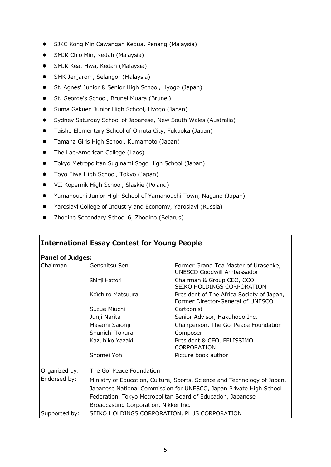- SJKC Kong Min Cawangan Kedua, Penang (Malaysia)
- SMJK Chio Min, Kedah (Malaysia)
- **SMJK Keat Hwa, Kedah (Malaysia)**
- SMK Jenjarom, Selangor (Malaysia)
- **St. Agnes' Junior & Senior High School, Hyogo (Japan)**
- **•** St. George's School, Brunei Muara (Brunei)
- **•** Suma Gakuen Junior High School, Hyogo (Japan)
- **Sydney Saturday School of Japanese, New South Wales (Australia)**
- Taisho Elementary School of Omuta City, Fukuoka (Japan)
- Tamana Girls High School, Kumamoto (Japan)
- The Lao-American College (Laos)
- Tokyo Metropolitan Suginami Sogo High School (Japan)
- Toyo Eiwa High School, Tokyo (Japan)
- VII Kopernik High School, Slaskie (Poland)
- Yamanouchi Junior High School of Yamanouchi Town, Nagano (Japan)
- Yaroslavl College of Industry and Economy, Yaroslavl (Russia)
- Zhodino Secondary School 6, Zhodino (Belarus)

#### **International Essay Contest for Young People**

#### **Panel of Judges:**

| Chairman      | Genshitsu Sen                                                            | Former Grand Tea Master of Urasenke,<br>UNESCO Goodwill Ambassador             |
|---------------|--------------------------------------------------------------------------|--------------------------------------------------------------------------------|
|               | Shinji Hattori                                                           | Chairman & Group CEO, CCO<br>SEIKO HOLDINGS CORPORATION                        |
|               | Koïchiro Matsuura                                                        | President of The Africa Society of Japan,<br>Former Director-General of UNESCO |
|               | Suzue Miuchi                                                             | Cartoonist                                                                     |
|               | Junji Narita                                                             | Senior Advisor, Hakuhodo Inc.                                                  |
|               | Masami Saionji                                                           | Chairperson, The Goi Peace Foundation                                          |
|               | Shunichi Tokura                                                          | Composer                                                                       |
|               | Kazuhiko Yazaki                                                          | President & CEO, FELISSIMO<br><b>CORPORATION</b>                               |
|               | Shomei Yoh                                                               | Picture book author                                                            |
| Organized by: | The Goi Peace Foundation                                                 |                                                                                |
| Endorsed by:  | Ministry of Education, Culture, Sports, Science and Technology of Japan, |                                                                                |
|               | Japanese National Commission for UNESCO, Japan Private High School       |                                                                                |
|               | Federation, Tokyo Metropolitan Board of Education, Japanese              |                                                                                |
|               | Broadcasting Corporation, Nikkei Inc.                                    |                                                                                |
| Supported by: | SEIKO HOLDINGS CORPORATION, PLUS CORPORATION                             |                                                                                |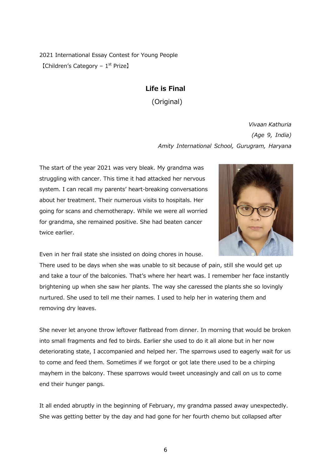2021 International Essay Contest for Young People [Children's Category –  $1<sup>st</sup>$  Prize]

#### **Life is Final**

(Original)

*Vivaan Kathuria (Age 9, India) Amity International School, Gurugram, Haryana*

The start of the year 2021 was very bleak. My grandma was struggling with cancer. This time it had attacked her nervous system. I can recall my parents' heart-breaking conversations about her treatment. Their numerous visits to hospitals. Her going for scans and chemotherapy. While we were all worried for grandma, she remained positive. She had beaten cancer twice earlier.



Even in her frail state she insisted on doing chores in house.

There used to be days when she was unable to sit because of pain, still she would get up and take a tour of the balconies. That's where her heart was. I remember her face instantly brightening up when she saw her plants. The way she caressed the plants she so lovingly nurtured. She used to tell me their names. I used to help her in watering them and removing dry leaves.

She never let anyone throw leftover flatbread from dinner. In morning that would be broken into small fragments and fed to birds. Earlier she used to do it all alone but in her now deteriorating state, I accompanied and helped her. The sparrows used to eagerly wait for us to come and feed them. Sometimes if we forgot or got late there used to be a chirping mayhem in the balcony. These sparrows would tweet unceasingly and call on us to come end their hunger pangs.

It all ended abruptly in the beginning of February, my grandma passed away unexpectedly. She was getting better by the day and had gone for her fourth chemo but collapsed after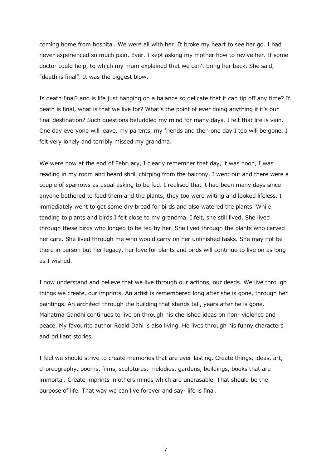coming home from hospital. We were all with her. It broke my heart to see her go. I had never experienced so much pain. Ever. I kept asking my mother how to revive her. If some doctor could help, to which my mum explained that we can't bring her back. She said, "death is final". It was the biggest blow.

Is death final? and is life just hanging on a balance so delicate that it can tip off any time? If death is final, what is that we live for? What's the point of ever doing anything if it's our final destination? Such questions befuddled my mind for many days. I felt that life is vain. One day everyone will leave, my parents, my friends and then one day I too will be gone. I felt very lonely and terribly missed my grandma.

We were now at the end of February, I clearly remember that day, it was noon, I was reading in my room and heard shrill chirping from the balcony. I went out and there were a couple of sparrows as usual asking to be fed. I realised that it had been many days since anyone bothered to feed them and the plants, they too were wilting and looked lifeless. I immediately went to get some dry bread for birds and also watered the plants. While tending to plants and birds I felt close to my grandma. I felt, she still lived. She lived through these birds who longed to be fed by her. She lived through the plants who carved her care. She lived through me who would carry on her unfinished tasks. She may not be there in person but her legacy, her love for plants and birds will continue to live on as long as I wished.

I now understand and believe that we live through our actions, our deeds. We live through things we create, our imprints. An artist is remembered long after she is gone, through her paintings. An architect through the building that stands tall, years after he is gone. Mahatma Gandhi continues to live on through his cherished ideas on non- violence and peace. My favourite author Roald Dahl is also living. He lives through his funny characters and brilliant stories.

I feel we should strive to create memories that are ever-lasting. Create things, ideas, art, choreography, poems, films, sculptures, melodies, gardens, buildings, books that are immortal. Create imprints in others minds which are unerasable. That should be the purpose of life. That way we can live forever and say- life is final.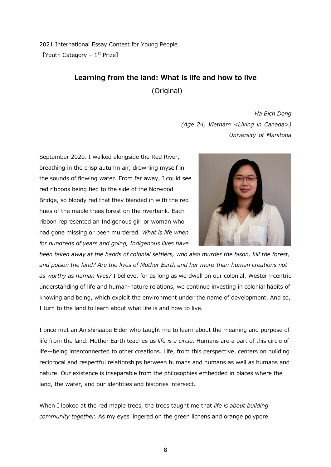2021 International Essay Contest for Young People  $[Youth$  Category –  $1<sup>st</sup>$  Prize]

#### **Learning from the land: What is life and how to live**

(Original)

*Ha Bich Dong (Age 24, Vietnam <Living in Canada>) University of Manitoba*

September 2020. I walked alongside the Red River, breathing in the crisp autumn air, drowning myself in the sounds of flowing water. From far away, I could see red ribbons being tied to the side of the Norwood Bridge, so bloody red that they blended in with the red hues of the maple trees forest on the riverbank. Each ribbon represented an Indigenous girl or woman who had gone missing or been murdered. *What is life when for hundreds of years and going, Indigenous lives have* 



*been taken away at the hands of colonial settlers, who also murder the bison, kill the forest, and poison the land? Are the lives of Mother Earth and her more-than-human creations not as worthy as human lives?* I believe, for as long as we dwell on our colonial, Western-centric understanding of life and human-nature relations, we continue investing in colonial habits of knowing and being, which exploit the environment under the name of development. And so, I turn to the land to learn about what life is and how to live.

I once met an Anishinaabe Elder who taught me to learn about the meaning and purpose of life from the land. Mother Earth teaches us *life is a circle*. Humans are a part of this circle of life—being interconnected to other creations. Life, from this perspective, centers on building reciprocal and respectful relationships between humans and humans as well as humans and nature. Our existence is inseparable from the philosophies embedded in places where the land, the water, and our identities and histories intersect.

When I looked at the red maple trees, the trees taught me that *life is about building community together*. As my eyes lingered on the green lichens and orange polypore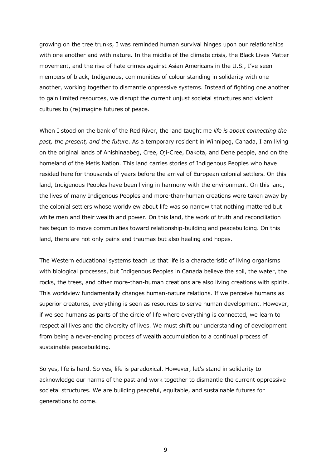growing on the tree trunks, I was reminded human survival hinges upon our relationships with one another and with nature. In the middle of the climate crisis, the Black Lives Matter movement, and the rise of hate crimes against Asian Americans in the U.S., I've seen members of black, Indigenous, communities of colour standing in solidarity with one another, working together to dismantle oppressive systems. Instead of fighting one another to gain limited resources, we disrupt the current unjust societal structures and violent cultures to (re)imagine futures of peace.

When I stood on the bank of the Red River, the land taught me *life is about connecting the past, the present, and the future*. As a temporary resident in Winnipeg, Canada, I am living on the original lands of Anishinaabeg, Cree, Oji-Cree, Dakota, and Dene people, and on the homeland of the Métis Nation. This land carries stories of Indigenous Peoples who have resided here for thousands of years before the arrival of European colonial settlers. On this land, Indigenous Peoples have been living in harmony with the environment. On this land, the lives of many Indigenous Peoples and more-than-human creations were taken away by the colonial settlers whose worldview about life was so narrow that nothing mattered but white men and their wealth and power. On this land, the work of truth and reconciliation has begun to move communities toward relationship-building and peacebuilding. On this land, there are not only pains and traumas but also healing and hopes.

The Western educational systems teach us that life is a characteristic of living organisms with biological processes, but Indigenous Peoples in Canada believe the soil, the water, the rocks, the trees, and other more-than-human creations are also living creations with spirits. This worldview fundamentally changes human-nature relations. If we perceive humans as superior creatures, everything is seen as resources to serve human development. However, if we see humans as parts of the circle of life where everything is connected, we learn to respect all lives and the diversity of lives. We must shift our understanding of development from being a never-ending process of wealth accumulation to a continual process of sustainable peacebuilding.

So yes, life is hard. So yes, life is paradoxical. However, let's stand in solidarity to acknowledge our harms of the past and work together to dismantle the current oppressive societal structures. We are building peaceful, equitable, and sustainable futures for generations to come.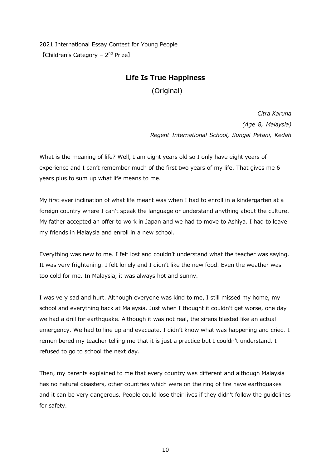2021 International Essay Contest for Young People  $[Children's$  Category –  $2<sup>nd</sup>$  Prize]

#### **Life Is True Happiness**

(Original)

*Citra Karuna (Age 8, Malaysia) Regent International School, Sungai Petani, Kedah*

What is the meaning of life? Well, I am eight years old so I only have eight years of experience and I can't remember much of the first two years of my life. That gives me 6 years plus to sum up what life means to me.

My first ever inclination of what life meant was when I had to enroll in a kindergarten at a foreign country where I can't speak the language or understand anything about the culture. My father accepted an offer to work in Japan and we had to move to Ashiya. I had to leave my friends in Malaysia and enroll in a new school.

Everything was new to me. I felt lost and couldn't understand what the teacher was saying. It was very frightening. I felt lonely and I didn't like the new food. Even the weather was too cold for me. In Malaysia, it was always hot and sunny.

I was very sad and hurt. Although everyone was kind to me, I still missed my home, my school and everything back at Malaysia. Just when I thought it couldn't get worse, one day we had a drill for earthquake. Although it was not real, the sirens blasted like an actual emergency. We had to line up and evacuate. I didn't know what was happening and cried. I remembered my teacher telling me that it is just a practice but I couldn't understand. I refused to go to school the next day.

Then, my parents explained to me that every country was different and although Malaysia has no natural disasters, other countries which were on the ring of fire have earthquakes and it can be very dangerous. People could lose their lives if they didn't follow the guidelines for safety.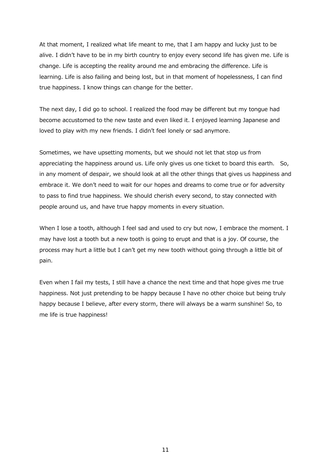At that moment, I realized what life meant to me, that I am happy and lucky just to be alive. I didn't have to be in my birth country to enjoy every second life has given me. Life is change. Life is accepting the reality around me and embracing the difference. Life is learning. Life is also failing and being lost, but in that moment of hopelessness, I can find true happiness. I know things can change for the better.

The next day, I did go to school. I realized the food may be different but my tongue had become accustomed to the new taste and even liked it. I enjoyed learning Japanese and loved to play with my new friends. I didn't feel lonely or sad anymore.

Sometimes, we have upsetting moments, but we should not let that stop us from appreciating the happiness around us. Life only gives us one ticket to board this earth. So, in any moment of despair, we should look at all the other things that gives us happiness and embrace it. We don't need to wait for our hopes and dreams to come true or for adversity to pass to find true happiness. We should cherish every second, to stay connected with people around us, and have true happy moments in every situation.

When I lose a tooth, although I feel sad and used to cry but now, I embrace the moment. I may have lost a tooth but a new tooth is going to erupt and that is a joy. Of course, the process may hurt a little but I can't get my new tooth without going through a little bit of pain.

Even when I fail my tests, I still have a chance the next time and that hope gives me true happiness. Not just pretending to be happy because I have no other choice but being truly happy because I believe, after every storm, there will always be a warm sunshine! So, to me life is true happiness!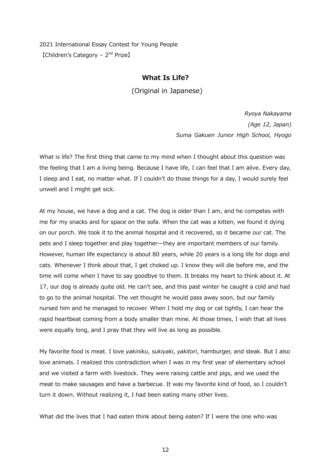2021 International Essay Contest for Young People 【Children's Category – 2nd Prize】

#### **What Is Life?**

(Original in Japanese)

*Ryoya Nakayama (Age 12, Japan) Suma Gakuen Junior High School, Hyogo*

What is life? The first thing that came to my mind when I thought about this question was the feeling that I am a living being. Because I have life, I can feel that I am alive. Every day, I sleep and I eat, no matter what. If I couldn't do those things for a day, I would surely feel unwell and I might get sick.

At my house, we have a dog and a cat. The dog is older than I am, and he competes with me for my snacks and for space on the sofa. When the cat was a kitten, we found it dying on our porch. We took it to the animal hospital and it recovered, so it became our cat. The pets and I sleep together and play together—they are important members of our family. However, human life expectancy is about 80 years, while 20 years is a long life for dogs and cats. Whenever I think about that, I get choked up. I know they will die before me, and the time will come when I have to say goodbye to them. It breaks my heart to think about it. At 17, our dog is already quite old. He can't see, and this past winter he caught a cold and had to go to the animal hospital. The vet thought he would pass away soon, but our family nursed him and he managed to recover. When I hold my dog or cat tightly, I can hear the rapid heartbeat coming from a body smaller than mine. At those times, I wish that all lives were equally long, and I pray that they will live as long as possible.

My favorite food is meat. I love *yakiniku*, *sukiyaki*, *yakitori*, hamburger, and steak. But I also love animals. I realized this contradiction when I was in my first year of elementary school and we visited a farm with livestock. They were raising cattle and pigs, and we used the meat to make sausages and have a barbecue. It was my favorite kind of food, so I couldn't turn it down. Without realizing it, I had been eating many other lives.

What did the lives that I had eaten think about being eaten? If I were the one who was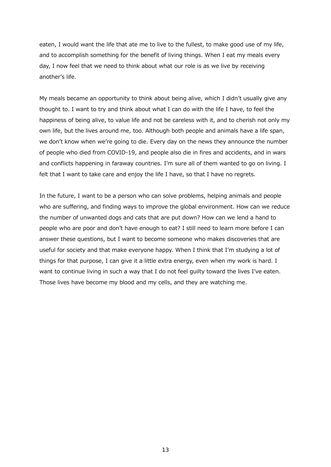eaten, I would want the life that ate me to live to the fullest, to make good use of my life, and to accomplish something for the benefit of living things. When I eat my meals every day, I now feel that we need to think about what our role is as we live by receiving another's life.

My meals became an opportunity to think about being alive, which I didn't usually give any thought to. I want to try and think about what I can do with the life I have, to feel the happiness of being alive, to value life and not be careless with it, and to cherish not only my own life, but the lives around me, too. Although both people and animals have a life span, we don't know when we're going to die. Every day on the news they announce the number of people who died from COVID-19, and people also die in fires and accidents, and in wars and conflicts happening in faraway countries. I'm sure all of them wanted to go on living. I felt that I want to take care and enjoy the life I have, so that I have no regrets.

In the future, I want to be a person who can solve problems, helping animals and people who are suffering, and finding ways to improve the global environment. How can we reduce the number of unwanted dogs and cats that are put down? How can we lend a hand to people who are poor and don't have enough to eat? I still need to learn more before I can answer these questions, but I want to become someone who makes discoveries that are useful for society and that make everyone happy. When I think that I'm studying a lot of things for that purpose, I can give it a little extra energy, even when my work is hard. I want to continue living in such a way that I do not feel guilty toward the lives I've eaten. Those lives have become my blood and my cells, and they are watching me.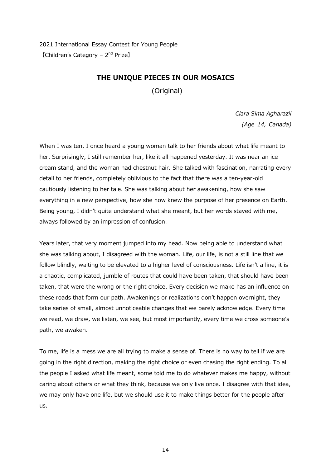2021 International Essay Contest for Young People  $[Children's$  Category –  $2<sup>nd</sup>$  Prize]

#### **THE UNIQUE PIECES IN OUR MOSAICS**

(Original)

*Clara Sima Agharazii (Age 14, Canada)* 

When I was ten, I once heard a young woman talk to her friends about what life meant to her. Surprisingly, I still remember her, like it all happened yesterday. It was near an ice cream stand, and the woman had chestnut hair. She talked with fascination, narrating every detail to her friends, completely oblivious to the fact that there was a ten-year-old cautiously listening to her tale. She was talking about her awakening, how she saw everything in a new perspective, how she now knew the purpose of her presence on Earth. Being young, I didn't quite understand what she meant, but her words stayed with me, always followed by an impression of confusion.

Years later, that very moment jumped into my head. Now being able to understand what she was talking about, I disagreed with the woman. Life, our life, is not a still line that we follow blindly, waiting to be elevated to a higher level of consciousness. Life isn't a line, it is a chaotic, complicated, jumble of routes that could have been taken, that should have been taken, that were the wrong or the right choice. Every decision we make has an influence on these roads that form our path. Awakenings or realizations don't happen overnight, they take series of small, almost unnoticeable changes that we barely acknowledge. Every time we read, we draw, we listen, we see, but most importantly, every time we cross someone's path, we awaken.

To me, life is a mess we are all trying to make a sense of. There is no way to tell if we are going in the right direction, making the right choice or even chasing the right ending. To all the people I asked what life meant, some told me to do whatever makes me happy, without caring about others or what they think, because we only live once. I disagree with that idea, we may only have one life, but we should use it to make things better for the people after us.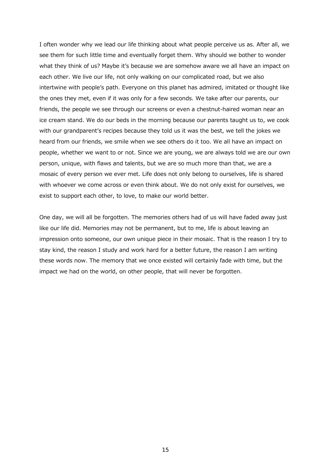I often wonder why we lead our life thinking about what people perceive us as. After all, we see them for such little time and eventually forget them. Why should we bother to wonder what they think of us? Maybe it's because we are somehow aware we all have an impact on each other. We live our life, not only walking on our complicated road, but we also intertwine with people's path. Everyone on this planet has admired, imitated or thought like the ones they met, even if it was only for a few seconds. We take after our parents, our friends, the people we see through our screens or even a chestnut-haired woman near an ice cream stand. We do our beds in the morning because our parents taught us to, we cook with our grandparent's recipes because they told us it was the best, we tell the jokes we heard from our friends, we smile when we see others do it too. We all have an impact on people, whether we want to or not. Since we are young, we are always told we are our own person, unique, with flaws and talents, but we are so much more than that, we are a mosaic of every person we ever met. Life does not only belong to ourselves, life is shared with whoever we come across or even think about. We do not only exist for ourselves, we exist to support each other, to love, to make our world better.

One day, we will all be forgotten. The memories others had of us will have faded away just like our life did. Memories may not be permanent, but to me, life is about leaving an impression onto someone, our own unique piece in their mosaic. That is the reason I try to stay kind, the reason I study and work hard for a better future, the reason I am writing these words now. The memory that we once existed will certainly fade with time, but the impact we had on the world, on other people, that will never be forgotten.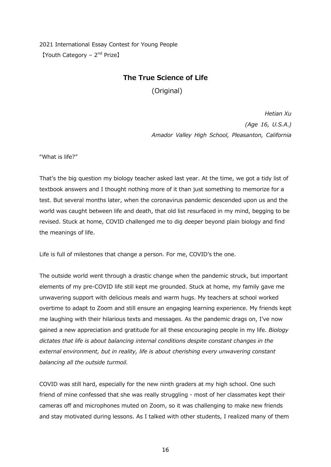2021 International Essay Contest for Young People 【Youth Category - 2<sup>nd</sup> Prize】

#### **The True Science of Life**

(Original)

*Hetian Xu (Age 16, U.S.A.) Amador Valley High School, Pleasanton, California*

"What is life?"

That's the big question my biology teacher asked last year. At the time, we got a tidy list of textbook answers and I thought nothing more of it than just something to memorize for a test. But several months later, when the coronavirus pandemic descended upon us and the world was caught between life and death, that old list resurfaced in my mind, begging to be revised. Stuck at home, COVID challenged me to dig deeper beyond plain biology and find the meanings of life.

Life is full of milestones that change a person. For me, COVID's the one.

The outside world went through a drastic change when the pandemic struck, but important elements of my pre-COVID life still kept me grounded. Stuck at home, my family gave me unwavering support with delicious meals and warm hugs. My teachers at school worked overtime to adapt to Zoom and still ensure an engaging learning experience. My friends kept me laughing with their hilarious texts and messages. As the pandemic drags on, I've now gained a new appreciation and gratitude for all these encouraging people in my life. *Biology dictates that life is about balancing internal conditions despite constant changes in the external environment, but in reality, life is about cherishing every unwavering constant balancing all the outside turmoil.*

COVID was still hard, especially for the new ninth graders at my high school. One such friend of mine confessed that she was really struggling - most of her classmates kept their cameras off and microphones muted on Zoom, so it was challenging to make new friends and stay motivated during lessons. As I talked with other students, I realized many of them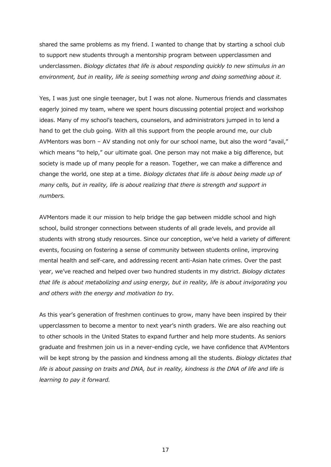shared the same problems as my friend. I wanted to change that by starting a school club to support new students through a mentorship program between upperclassmen and underclassmen. *Biology dictates that life is about responding quickly to new stimulus in an environment, but in reality, life is seeing something wrong and doing something about it.*

Yes, I was just one single teenager, but I was not alone. Numerous friends and classmates eagerly joined my team, where we spent hours discussing potential project and workshop ideas. Many of my school's teachers, counselors, and administrators jumped in to lend a hand to get the club going. With all this support from the people around me, our club AVMentors was born – AV standing not only for our school name, but also the word "avail," which means "to help," our ultimate goal. One person may not make a big difference, but society is made up of many people for a reason. Together, we can make a difference and change the world, one step at a time. *Biology dictates that life is about being made up of many cells, but in reality, life is about realizing that there is strength and support in numbers.*

AVMentors made it our mission to help bridge the gap between middle school and high school, build stronger connections between students of all grade levels, and provide all students with strong study resources. Since our conception, we've held a variety of different events, focusing on fostering a sense of community between students online, improving mental health and self-care, and addressing recent anti-Asian hate crimes. Over the past year, we've reached and helped over two hundred students in my district. *Biology dictates that life is about metabolizing and using energy, but in reality, life is about invigorating you and others with the energy and motivation to try.*

As this year's generation of freshmen continues to grow, many have been inspired by their upperclassmen to become a mentor to next year's ninth graders. We are also reaching out to other schools in the United States to expand further and help more students. As seniors graduate and freshmen join us in a never-ending cycle, we have confidence that AVMentors will be kept strong by the passion and kindness among all the students. *Biology dictates that life is about passing on traits and DNA, but in reality, kindness is the DNA of life and life is learning to pay it forward.*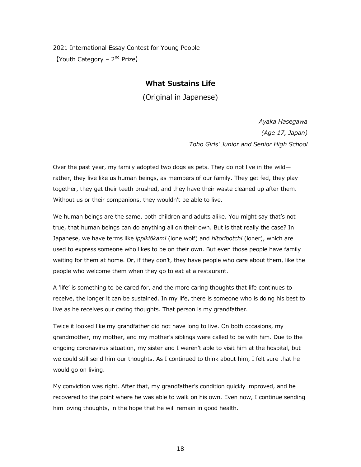2021 International Essay Contest for Young People 【Youth Category – 2<sup>nd</sup> Prize】

#### **What Sustains Life**

(Original in Japanese)

*Ayaka Hasegawa (Age 17, Japan) Toho Girls' Junior and Senior High School*

Over the past year, my family adopted two dogs as pets. They do not live in the wild rather, they live like us human beings, as members of our family. They get fed, they play together, they get their teeth brushed, and they have their waste cleaned up after them. Without us or their companions, they wouldn't be able to live.

We human beings are the same, both children and adults alike. You might say that's not true, that human beings can do anything all on their own. But is that really the case? In Japanese, we have terms like *ippikiôkami* (lone wolf) and *hitoribotchi* (loner), which are used to express someone who likes to be on their own. But even those people have family waiting for them at home. Or, if they don't, they have people who care about them, like the people who welcome them when they go to eat at a restaurant.

A 'life' is something to be cared for, and the more caring thoughts that life continues to receive, the longer it can be sustained. In my life, there is someone who is doing his best to live as he receives our caring thoughts. That person is my grandfather.

Twice it looked like my grandfather did not have long to live. On both occasions, my grandmother, my mother, and my mother's siblings were called to be with him. Due to the ongoing coronavirus situation, my sister and I weren't able to visit him at the hospital, but we could still send him our thoughts. As I continued to think about him, I felt sure that he would go on living.

My conviction was right. After that, my grandfather's condition quickly improved, and he recovered to the point where he was able to walk on his own. Even now, I continue sending him loving thoughts, in the hope that he will remain in good health.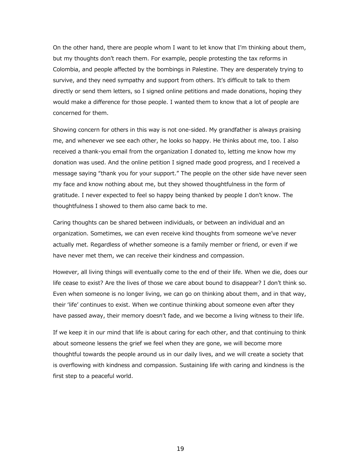On the other hand, there are people whom I want to let know that I'm thinking about them, but my thoughts don't reach them. For example, people protesting the tax reforms in Colombia, and people affected by the bombings in Palestine. They are desperately trying to survive, and they need sympathy and support from others. It's difficult to talk to them directly or send them letters, so I signed online petitions and made donations, hoping they would make a difference for those people. I wanted them to know that a lot of people are concerned for them.

Showing concern for others in this way is not one-sided. My grandfather is always praising me, and whenever we see each other, he looks so happy. He thinks about me, too. I also received a thank-you email from the organization I donated to, letting me know how my donation was used. And the online petition I signed made good progress, and I received a message saying "thank you for your support." The people on the other side have never seen my face and know nothing about me, but they showed thoughtfulness in the form of gratitude. I never expected to feel so happy being thanked by people I don't know. The thoughtfulness I showed to them also came back to me.

Caring thoughts can be shared between individuals, or between an individual and an organization. Sometimes, we can even receive kind thoughts from someone we've never actually met. Regardless of whether someone is a family member or friend, or even if we have never met them, we can receive their kindness and compassion.

However, all living things will eventually come to the end of their life. When we die, does our life cease to exist? Are the lives of those we care about bound to disappear? I don't think so. Even when someone is no longer living, we can go on thinking about them, and in that way, their 'life' continues to exist. When we continue thinking about someone even after they have passed away, their memory doesn't fade, and we become a living witness to their life.

If we keep it in our mind that life is about caring for each other, and that continuing to think about someone lessens the grief we feel when they are gone, we will become more thoughtful towards the people around us in our daily lives, and we will create a society that is overflowing with kindness and compassion. Sustaining life with caring and kindness is the first step to a peaceful world.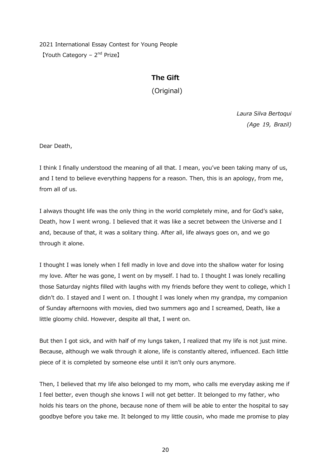2021 International Essay Contest for Young People 【Youth Category – 2<sup>nd</sup> Prize】

#### **The Gift**

(Original)

*Laura Silva Bertoqui (Age 19, Brazil)* 

Dear Death,

I think I finally understood the meaning of all that. I mean, you've been taking many of us, and I tend to believe everything happens for a reason. Then, this is an apology, from me, from all of us.

I always thought life was the only thing in the world completely mine, and for God's sake, Death, how I went wrong. I believed that it was like a secret between the Universe and I and, because of that, it was a solitary thing. After all, life always goes on, and we go through it alone.

I thought I was lonely when I fell madly in love and dove into the shallow water for losing my love. After he was gone, I went on by myself. I had to. I thought I was lonely recalling those Saturday nights filled with laughs with my friends before they went to college, which I didn't do. I stayed and I went on. I thought I was lonely when my grandpa, my companion of Sunday afternoons with movies, died two summers ago and I screamed, Death, like a little gloomy child. However, despite all that, I went on.

But then I got sick, and with half of my lungs taken, I realized that my life is not just mine. Because, although we walk through it alone, life is constantly altered, influenced. Each little piece of it is completed by someone else until it isn't only ours anymore.

Then, I believed that my life also belonged to my mom, who calls me everyday asking me if I feel better, even though she knows I will not get better. It belonged to my father, who holds his tears on the phone, because none of them will be able to enter the hospital to say goodbye before you take me. It belonged to my little cousin, who made me promise to play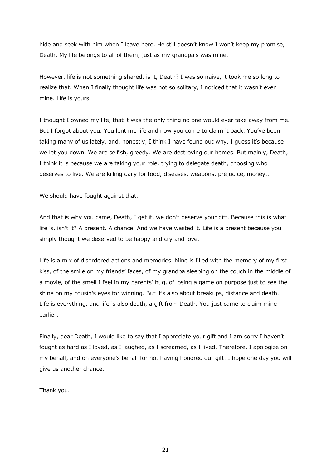hide and seek with him when I leave here. He still doesn't know I won't keep my promise, Death. My life belongs to all of them, just as my grandpa's was mine.

However, life is not something shared, is it, Death? I was so naive, it took me so long to realize that. When I finally thought life was not so solitary, I noticed that it wasn't even mine. Life is yours.

I thought I owned my life, that it was the only thing no one would ever take away from me. But I forgot about you. You lent me life and now you come to claim it back. You've been taking many of us lately, and, honestly, I think I have found out why. I guess it's because we let you down. We are selfish, greedy. We are destroying our homes. But mainly, Death, I think it is because we are taking your role, trying to delegate death, choosing who deserves to live. We are killing daily for food, diseases, weapons, prejudice, money...

We should have fought against that.

And that is why you came, Death, I get it, we don't deserve your gift. Because this is what life is, isn't it? A present. A chance. And we have wasted it. Life is a present because you simply thought we deserved to be happy and cry and love.

Life is a mix of disordered actions and memories. Mine is filled with the memory of my first kiss, of the smile on my friends' faces, of my grandpa sleeping on the couch in the middle of a movie, of the smell I feel in my parents' hug, of losing a game on purpose just to see the shine on my cousin's eyes for winning. But it's also about breakups, distance and death. Life is everything, and life is also death, a gift from Death. You just came to claim mine earlier.

Finally, dear Death, I would like to say that I appreciate your gift and I am sorry I haven't fought as hard as I loved, as I laughed, as I screamed, as I lived. Therefore, I apologize on my behalf, and on everyone's behalf for not having honored our gift. I hope one day you will give us another chance.

Thank you.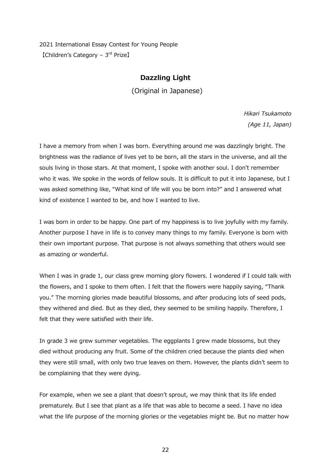2021 International Essay Contest for Young People 【Children's Category – 3rd Prize】

#### **Dazzling Light**

(Original in Japanese)

*Hikari Tsukamoto (Age 11, Japan)*

I have a memory from when I was born. Everything around me was dazzlingly bright. The brightness was the radiance of lives yet to be born, all the stars in the universe, and all the souls living in those stars. At that moment, I spoke with another soul. I don't remember who it was. We spoke in the words of fellow souls. It is difficult to put it into Japanese, but I was asked something like, "What kind of life will you be born into?" and I answered what kind of existence I wanted to be, and how I wanted to live.

I was born in order to be happy. One part of my happiness is to live joyfully with my family. Another purpose I have in life is to convey many things to my family. Everyone is born with their own important purpose. That purpose is not always something that others would see as amazing or wonderful.

When I was in grade 1, our class grew morning glory flowers. I wondered if I could talk with the flowers, and I spoke to them often. I felt that the flowers were happily saying, "Thank you." The morning glories made beautiful blossoms, and after producing lots of seed pods, they withered and died. But as they died, they seemed to be smiling happily. Therefore, I felt that they were satisfied with their life.

In grade 3 we grew summer vegetables. The eggplants I grew made blossoms, but they died without producing any fruit. Some of the children cried because the plants died when they were still small, with only two true leaves on them. However, the plants didn't seem to be complaining that they were dying.

For example, when we see a plant that doesn't sprout, we may think that its life ended prematurely. But I see that plant as a life that was able to become a seed. I have no idea what the life purpose of the morning glories or the vegetables might be. But no matter how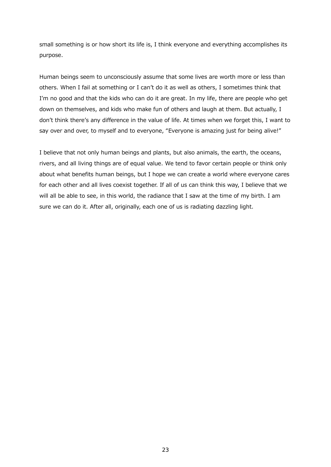small something is or how short its life is, I think everyone and everything accomplishes its purpose.

Human beings seem to unconsciously assume that some lives are worth more or less than others. When I fail at something or I can't do it as well as others, I sometimes think that I'm no good and that the kids who can do it are great. In my life, there are people who get down on themselves, and kids who make fun of others and laugh at them. But actually, I don't think there's any difference in the value of life. At times when we forget this, I want to say over and over, to myself and to everyone, "Everyone is amazing just for being alive!"

I believe that not only human beings and plants, but also animals, the earth, the oceans, rivers, and all living things are of equal value. We tend to favor certain people or think only about what benefits human beings, but I hope we can create a world where everyone cares for each other and all lives coexist together. If all of us can think this way, I believe that we will all be able to see, in this world, the radiance that I saw at the time of my birth. I am sure we can do it. After all, originally, each one of us is radiating dazzling light.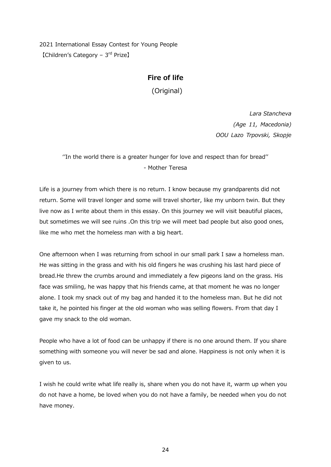2021 International Essay Contest for Young People 【Children's Category – 3rd Prize】

#### **Fire of life**

(Original)

*Lara Stancheva (Age 11, Macedonia) OOU Lazo Trpovski, Skopje*

''In the world there is a greater hunger for love and respect than for bread'' - Mother Teresa

Life is a journey from which there is no return. I know because my grandparents did not return. Some will travel longer and some will travel shorter, like my unborn twin. But they live now as I write about them in this essay. On this journey we will visit beautiful places, but sometimes we will see ruins .On this trip we will meet bad people but also good ones, like me who met the homeless man with a big heart.

One afternoon when I was returning from school in our small park I saw a homeless man. He was sitting in the grass and with his old fingers he was crushing his last hard piece of bread.He threw the crumbs around and immediately a few pigeons land on the grass. His face was smiling, he was happy that his friends came, at that moment he was no longer alone. I took my snack out of my bag and handed it to the homeless man. But he did not take it, he pointed his finger at the old woman who was selling flowers. From that day I gave my snack to the old woman.

People who have a lot of food can be unhappy if there is no one around them. If you share something with someone you will never be sad and alone. Happiness is not only when it is given to us.

I wish he could write what life really is, share when you do not have it, warm up when you do not have a home, be loved when you do not have a family, be needed when you do not have money.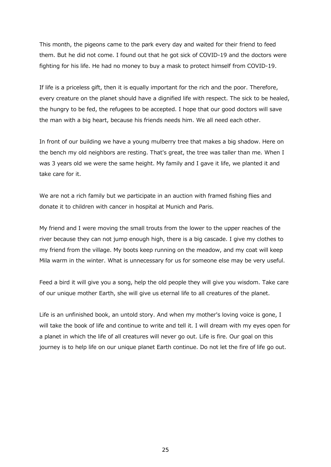This month, the pigeons came to the park every day and waited for their friend to feed them. But he did not come. I found out that he got sick of COVID-19 and the doctors were fighting for his life. He had no money to buy a mask to protect himself from COVID-19.

If life is a priceless gift, then it is equally important for the rich and the poor. Therefore, every creature on the planet should have a dignified life with respect. The sick to be healed, the hungry to be fed, the refugees to be accepted. I hope that our good doctors will save the man with a big heart, because his friends needs him. We all need each other.

In front of our building we have a young mulberry tree that makes a big shadow. Here on the bench my old neighbors are resting. That's great, the tree was taller than me. When I was 3 years old we were the same height. My family and I gave it life, we planted it and take care for it.

We are not a rich family but we participate in an auction with framed fishing flies and donate it to children with cancer in hospital at Munich and Paris.

My friend and I were moving the small trouts from the lower to the upper reaches of the river because they can not jump enough high, there is a big cascade. I give my clothes to my friend from the village. My boots keep running on the meadow, and my coat will keep Mila warm in the winter. What is unnecessary for us for someone else may be very useful.

Feed a bird it will give you a song, help the old people they will give you wisdom. Take care of our unique mother Earth, she will give us eternal life to all creatures of the planet.

Life is an unfinished book, an untold story. And when my mother's loving voice is gone, I will take the book of life and continue to write and tell it. I will dream with my eyes open for a planet in which the life of all creatures will never go out. Life is fire. Our goal on this journey is to help life on our unique planet Earth continue. Do not let the fire of life go out.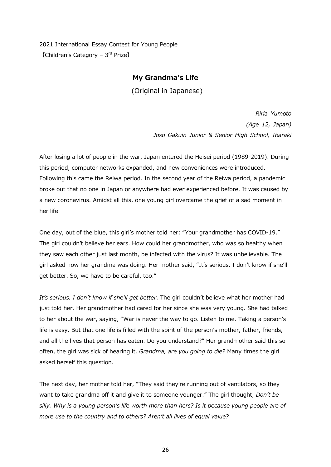2021 International Essay Contest for Young People 【Children's Category – 3rd Prize】

#### **My Grandma's Life**

(Original in Japanese)

*Riria Yumoto (Age 12, Japan) Joso Gakuin Junior & Senior High School, Ibaraki*

After losing a lot of people in the war, Japan entered the Heisei period (1989-2019). During this period, computer networks expanded, and new conveniences were introduced. Following this came the Reiwa period. In the second year of the Reiwa period, a pandemic broke out that no one in Japan or anywhere had ever experienced before. It was caused by a new coronavirus. Amidst all this, one young girl overcame the grief of a sad moment in her life.

One day, out of the blue, this girl's mother told her: "Your grandmother has COVID-19." The girl couldn't believe her ears. How could her grandmother, who was so healthy when they saw each other just last month, be infected with the virus? It was unbelievable. The girl asked how her grandma was doing. Her mother said, "It's serious. I don't know if she'll get better. So, we have to be careful, too."

*It's serious. I don't know if she'll get better*. The girl couldn't believe what her mother had just told her. Her grandmother had cared for her since she was very young. She had talked to her about the war, saying, "War is never the way to go. Listen to me. Taking a person's life is easy. But that one life is filled with the spirit of the person's mother, father, friends, and all the lives that person has eaten. Do you understand?" Her grandmother said this so often, the girl was sick of hearing it. *Grandma, are you going to die?* Many times the girl asked herself this question.

The next day, her mother told her, "They said they're running out of ventilators, so they want to take grandma off it and give it to someone younger." The girl thought, *Don't be silly. Why is a young person's life worth more than hers? Is it because young people are of more use to the country and to others? Aren't all lives of equal value?*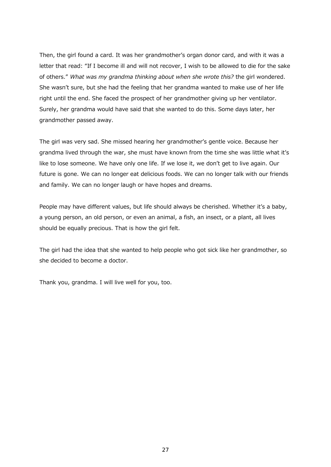Then, the girl found a card. It was her grandmother's organ donor card, and with it was a letter that read: "If I become ill and will not recover, I wish to be allowed to die for the sake of others." *What was my grandma thinking about when she wrote this?* the girl wondered. She wasn't sure, but she had the feeling that her grandma wanted to make use of her life right until the end. She faced the prospect of her grandmother giving up her ventilator. Surely, her grandma would have said that she wanted to do this. Some days later, her grandmother passed away.

The girl was very sad. She missed hearing her grandmother's gentle voice. Because her grandma lived through the war, she must have known from the time she was little what it's like to lose someone. We have only one life. If we lose it, we don't get to live again. Our future is gone. We can no longer eat delicious foods. We can no longer talk with our friends and family. We can no longer laugh or have hopes and dreams.

People may have different values, but life should always be cherished. Whether it's a baby, a young person, an old person, or even an animal, a fish, an insect, or a plant, all lives should be equally precious. That is how the girl felt.

The girl had the idea that she wanted to help people who got sick like her grandmother, so she decided to become a doctor.

Thank you, grandma. I will live well for you, too.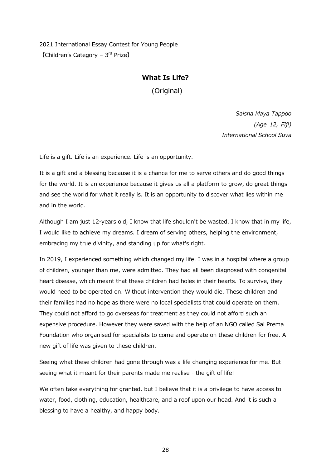2021 International Essay Contest for Young People 【Children's Category – 3rd Prize】

#### **What Is Life?**

(Original)

*Saisha Maya Tappoo (Age 12, Fiji) International School Suva*

Life is a gift. Life is an experience. Life is an opportunity.

It is a gift and a blessing because it is a chance for me to serve others and do good things for the world. It is an experience because it gives us all a platform to grow, do great things and see the world for what it really is. It is an opportunity to discover what lies within me and in the world.

Although I am just 12-years old, I know that life shouldn't be wasted. I know that in my life, I would like to achieve my dreams. I dream of serving others, helping the environment, embracing my true divinity, and standing up for what's right.

In 2019, I experienced something which changed my life. I was in a hospital where a group of children, younger than me, were admitted. They had all been diagnosed with congenital heart disease, which meant that these children had holes in their hearts. To survive, they would need to be operated on. Without intervention they would die. These children and their families had no hope as there were no local specialists that could operate on them. They could not afford to go overseas for treatment as they could not afford such an expensive procedure. However they were saved with the help of an NGO called Sai Prema Foundation who organised for specialists to come and operate on these children for free. A new gift of life was given to these children.

Seeing what these children had gone through was a life changing experience for me. But seeing what it meant for their parents made me realise - the gift of life!

We often take everything for granted, but I believe that it is a privilege to have access to water, food, clothing, education, healthcare, and a roof upon our head. And it is such a blessing to have a healthy, and happy body.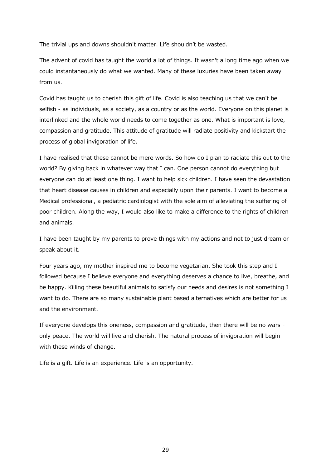The trivial ups and downs shouldn't matter. Life shouldn't be wasted.

The advent of covid has taught the world a lot of things. It wasn't a long time ago when we could instantaneously do what we wanted. Many of these luxuries have been taken away from us.

Covid has taught us to cherish this gift of life. Covid is also teaching us that we can't be selfish - as individuals, as a society, as a country or as the world. Everyone on this planet is interlinked and the whole world needs to come together as one. What is important is love, compassion and gratitude. This attitude of gratitude will radiate positivity and kickstart the process of global invigoration of life.

I have realised that these cannot be mere words. So how do I plan to radiate this out to the world? By giving back in whatever way that I can. One person cannot do everything but everyone can do at least one thing. I want to help sick children. I have seen the devastation that heart disease causes in children and especially upon their parents. I want to become a Medical professional, a pediatric cardiologist with the sole aim of alleviating the suffering of poor children. Along the way, I would also like to make a difference to the rights of children and animals.

I have been taught by my parents to prove things with my actions and not to just dream or speak about it.

Four years ago, my mother inspired me to become vegetarian. She took this step and I followed because I believe everyone and everything deserves a chance to live, breathe, and be happy. Killing these beautiful animals to satisfy our needs and desires is not something I want to do. There are so many sustainable plant based alternatives which are better for us and the environment.

If everyone develops this oneness, compassion and gratitude, then there will be no wars only peace. The world will live and cherish. The natural process of invigoration will begin with these winds of change.

Life is a gift. Life is an experience. Life is an opportunity.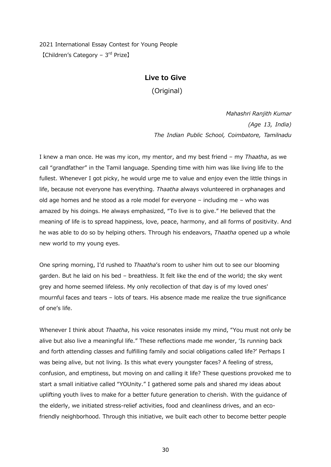2021 International Essay Contest for Young People 【Children's Category – 3rd Prize】

#### **Live to Give**

(Original)

*Mahashri Ranjith Kumar (Age 13, India) The Indian Public School, Coimbatore, Tamilnadu*

I knew a man once. He was my icon, my mentor, and my best friend – my *Thaatha*, as we call "grandfather" in the Tamil language. Spending time with him was like living life to the fullest. Whenever I got picky, he would urge me to value and enjoy even the little things in life, because not everyone has everything. *Thaatha* always volunteered in orphanages and old age homes and he stood as a role model for everyone – including me – who was amazed by his doings. He always emphasized, "To live is to give." He believed that the meaning of life is to spread happiness, love, peace, harmony, and all forms of positivity. And he was able to do so by helping others. Through his endeavors, *Thaatha* opened up a whole new world to my young eyes.

One spring morning, I'd rushed to *Thaatha*'s room to usher him out to see our blooming garden. But he laid on his bed – breathless. It felt like the end of the world; the sky went grey and home seemed lifeless. My only recollection of that day is of my loved ones' mournful faces and tears – lots of tears. His absence made me realize the true significance of one's life.

Whenever I think about *Thaatha*, his voice resonates inside my mind, "You must not only be alive but also live a meaningful life." These reflections made me wonder, 'Is running back and forth attending classes and fulfilling family and social obligations called life?' Perhaps I was being alive, but not living. Is this what every youngster faces? A feeling of stress, confusion, and emptiness, but moving on and calling it life? These questions provoked me to start a small initiative called "YOUnity." I gathered some pals and shared my ideas about uplifting youth lives to make for a better future generation to cherish. With the guidance of the elderly, we initiated stress-relief activities, food and cleanliness drives, and an ecofriendly neighborhood. Through this initiative, we built each other to become better people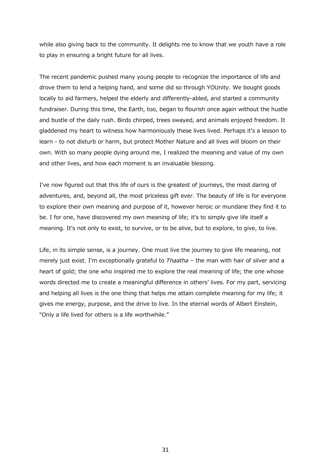while also giving back to the community. It delights me to know that we youth have a role to play in ensuring a bright future for all lives.

The recent pandemic pushed many young people to recognize the importance of life and drove them to lend a helping hand, and some did so through YOUnity. We bought goods locally to aid farmers, helped the elderly and differently-abled, and started a community fundraiser. During this time, the Earth, too, began to flourish once again without the hustle and bustle of the daily rush. Birds chirped, trees swayed, and animals enjoyed freedom. It gladdened my heart to witness how harmoniously these lives lived. Perhaps it's a lesson to learn - to not disturb or harm, but protect Mother Nature and all lives will bloom on their own. With so many people dying around me, I realized the meaning and value of my own and other lives, and how each moment is an invaluable blessing.

I've now figured out that this life of ours is the greatest of journeys, the most daring of adventures, and, beyond all, the most priceless gift ever. The beauty of life is for everyone to explore their own meaning and purpose of it, however heroic or mundane they find it to be. I for one, have discovered my own meaning of life; it's to simply give life itself a meaning. It's not only to exist, to survive, or to be alive, but to explore, to give, to live.

Life, in its simple sense, is a journey. One must live the journey to give life meaning, not merely just exist. I'm exceptionally grateful to *Thaatha* – the man with hair of silver and a heart of gold; the one who inspired me to explore the real meaning of life; the one whose words directed me to create a meaningful difference in others' lives. For my part, servicing and helping all lives is the one thing that helps me attain complete meaning for my life; it gives me energy, purpose, and the drive to live. In the eternal words of Albert Einstein, "Only a life lived for others is a life worthwhile."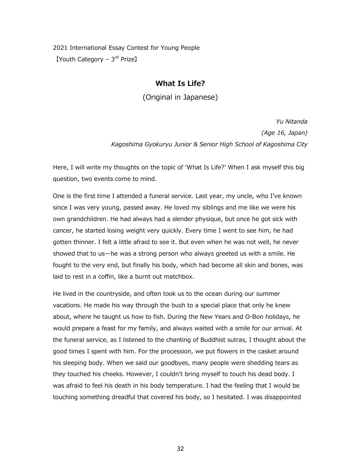2021 International Essay Contest for Young People 【Youth Category – 3<sup>rd</sup> Prize】

#### **What Is Life?**

(Original in Japanese)

*Yu Nitanda (Age 16, Japan) Kagoshima Gyokuryu Junior & Senior High School of Kagoshima City*

Here, I will write my thoughts on the topic of 'What Is Life?' When I ask myself this big question, two events come to mind.

One is the first time I attended a funeral service. Last year, my uncle, who I've known since I was very young, passed away. He loved my siblings and me like we were his own grandchildren. He had always had a slender physique, but once he got sick with cancer, he started losing weight very quickly. Every time I went to see him, he had gotten thinner. I felt a little afraid to see it. But even when he was not well, he never showed that to us—he was a strong person who always greeted us with a smile. He fought to the very end, but finally his body, which had become all skin and bones, was laid to rest in a coffin, like a burnt out matchbox.

He lived in the countryside, and often took us to the ocean during our summer vacations. He made his way through the bush to a special place that only he knew about, where he taught us how to fish. During the New Years and O-Bon holidays, he would prepare a feast for my family, and always waited with a smile for our arrival. At the funeral service, as I listened to the chanting of Buddhist sutras, I thought about the good times I spent with him. For the procession, we put flowers in the casket around his sleeping body. When we said our goodbyes, many people were shedding tears as they touched his cheeks. However, I couldn't bring myself to touch his dead body. I was afraid to feel his death in his body temperature. I had the feeling that I would be touching something dreadful that covered his body, so I hesitated. I was disappointed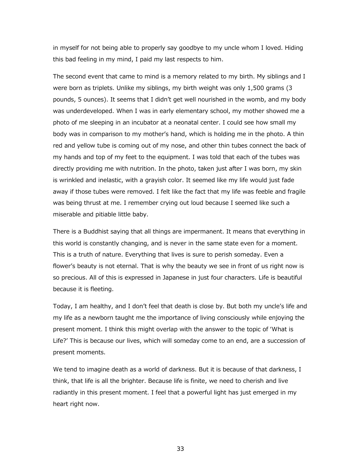in myself for not being able to properly say goodbye to my uncle whom I loved. Hiding this bad feeling in my mind, I paid my last respects to him.

The second event that came to mind is a memory related to my birth. My siblings and I were born as triplets. Unlike my siblings, my birth weight was only 1,500 grams (3 pounds, 5 ounces). It seems that I didn't get well nourished in the womb, and my body was underdeveloped. When I was in early elementary school, my mother showed me a photo of me sleeping in an incubator at a neonatal center. I could see how small my body was in comparison to my mother's hand, which is holding me in the photo. A thin red and yellow tube is coming out of my nose, and other thin tubes connect the back of my hands and top of my feet to the equipment. I was told that each of the tubes was directly providing me with nutrition. In the photo, taken just after I was born, my skin is wrinkled and inelastic, with a grayish color. It seemed like my life would just fade away if those tubes were removed. I felt like the fact that my life was feeble and fragile was being thrust at me. I remember crying out loud because I seemed like such a miserable and pitiable little baby.

There is a Buddhist saying that all things are impermanent. It means that everything in this world is constantly changing, and is never in the same state even for a moment. This is a truth of nature. Everything that lives is sure to perish someday. Even a flower's beauty is not eternal. That is why the beauty we see in front of us right now is so precious. All of this is expressed in Japanese in just four characters. Life is beautiful because it is fleeting.

Today, I am healthy, and I don't feel that death is close by. But both my uncle's life and my life as a newborn taught me the importance of living consciously while enjoying the present moment. I think this might overlap with the answer to the topic of 'What is Life?' This is because our lives, which will someday come to an end, are a succession of present moments.

We tend to imagine death as a world of darkness. But it is because of that darkness, I think, that life is all the brighter. Because life is finite, we need to cherish and live radiantly in this present moment. I feel that a powerful light has just emerged in my heart right now.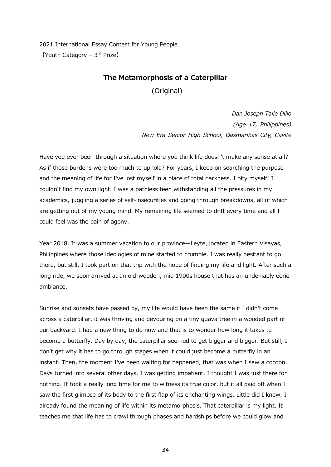2021 International Essay Contest for Young People 【Youth Category – 3rd Prize】

#### **The Metamorphosis of a Caterpillar**

(Original)

*Dan Joseph Talle Dillo (Age 17, Philippines) New Era Senior High School, Dasmariñas City, Cavite*

Have you ever been through a situation where you think life doesn't make any sense at all? As if those burdens were too much to uphold? For years, I keep on searching the purpose and the meaning of life for I've lost myself in a place of total darkness. I pity myself! I couldn't find my own light. I was a pathless teen withstanding all the pressures in my academics, juggling a series of self-insecurities and going through breakdowns, all of which are getting out of my young mind. My remaining life seemed to drift every time and all I could feel was the pain of agony.

Year 2018. It was a summer vacation to our province—Leyte, located in Eastern Visayas, Philippines where those ideologies of mine started to crumble. I was really hesitant to go there, but still, I took part on that trip with the hope of finding my life and light. After such a long ride, we soon arrived at an old-wooden, mid 1900s house that has an undeniably eerie ambiance.

Sunrise and sunsets have passed by, my life would have been the same if I didn't come across a caterpillar, it was thriving and devouring on a tiny guava tree in a wooded part of our backyard. I had a new thing to do now and that is to wonder how long it takes to become a butterfly. Day by day, the caterpillar seemed to get bigger and bigger. But still, I don't get why it has to go through stages when it could just become a butterfly in an instant. Then, the moment I've been waiting for happened, that was when I saw a cocoon. Days turned into several other days, I was getting impatient. I thought I was just there for nothing. It took a really long time for me to witness its true color, but it all paid off when I saw the first glimpse of its body to the first flap of its enchanting wings. Little did I know, I already found the meaning of life within its metamorphosis. That caterpillar is my light. It teaches me that life has to crawl through phases and hardships before we could glow and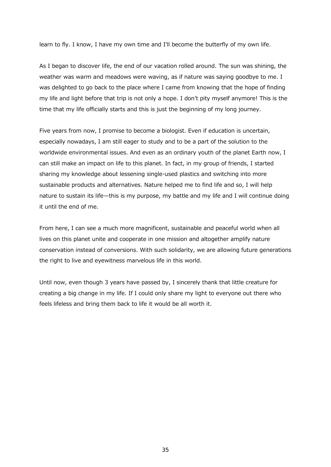learn to fly. I know, I have my own time and I'll become the butterfly of my own life.

As I began to discover life, the end of our vacation rolled around. The sun was shining, the weather was warm and meadows were waving, as if nature was saying goodbye to me. I was delighted to go back to the place where I came from knowing that the hope of finding my life and light before that trip is not only a hope. I don't pity myself anymore! This is the time that my life officially starts and this is just the beginning of my long journey.

Five years from now, I promise to become a biologist. Even if education is uncertain, especially nowadays, I am still eager to study and to be a part of the solution to the worldwide environmental issues. And even as an ordinary youth of the planet Earth now, I can still make an impact on life to this planet. In fact, in my group of friends, I started sharing my knowledge about lessening single-used plastics and switching into more sustainable products and alternatives. Nature helped me to find life and so, I will help nature to sustain its life—this is my purpose, my battle and my life and I will continue doing it until the end of me.

From here, I can see a much more magnificent, sustainable and peaceful world when all lives on this planet unite and cooperate in one mission and altogether amplify nature conservation instead of conversions. With such solidarity, we are allowing future generations the right to live and eyewitness marvelous life in this world.

Until now, even though 3 years have passed by, I sincerely thank that little creature for creating a big change in my life. If I could only share my light to everyone out there who feels lifeless and bring them back to life it would be all worth it.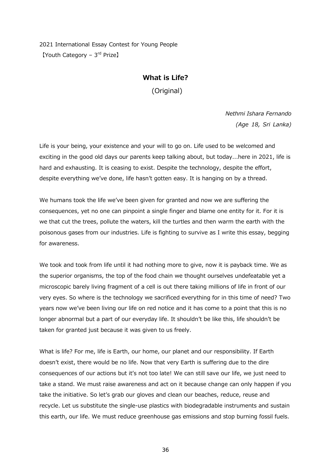2021 International Essay Contest for Young People 【Youth Category – 3rd Prize】

#### **What is Life?**

(Original)

*Nethmi Ishara Fernando (Age 18, Sri Lanka)* 

Life is your being, your existence and your will to go on. Life used to be welcomed and exciting in the good old days our parents keep talking about, but today...here in 2021, life is hard and exhausting. It is ceasing to exist. Despite the technology, despite the effort, despite everything we've done, life hasn't gotten easy. It is hanging on by a thread.

We humans took the life we've been given for granted and now we are suffering the consequences, yet no one can pinpoint a single finger and blame one entity for it. For it is we that cut the trees, pollute the waters, kill the turtles and then warm the earth with the poisonous gases from our industries. Life is fighting to survive as I write this essay, begging for awareness.

We took and took from life until it had nothing more to give, now it is payback time. We as the superior organisms, the top of the food chain we thought ourselves undefeatable yet a microscopic barely living fragment of a cell is out there taking millions of life in front of our very eyes. So where is the technology we sacrificed everything for in this time of need? Two years now we've been living our life on red notice and it has come to a point that this is no longer abnormal but a part of our everyday life. It shouldn't be like this, life shouldn't be taken for granted just because it was given to us freely.

What is life? For me, life is Earth, our home, our planet and our responsibility. If Earth doesn't exist, there would be no life. Now that very Earth is suffering due to the dire consequences of our actions but it's not too late! We can still save our life, we just need to take a stand. We must raise awareness and act on it because change can only happen if you take the initiative. So let's grab our gloves and clean our beaches, reduce, reuse and recycle. Let us substitute the single-use plastics with biodegradable instruments and sustain this earth, our life. We must reduce greenhouse gas emissions and stop burning fossil fuels.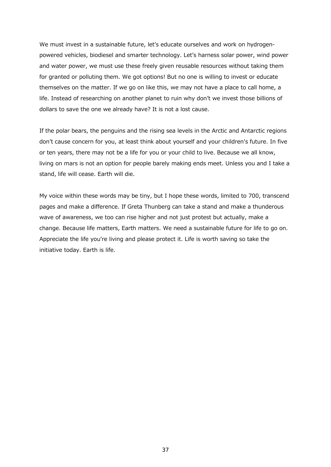We must invest in a sustainable future, let's educate ourselves and work on hydrogenpowered vehicles, biodiesel and smarter technology. Let's harness solar power, wind power and water power, we must use these freely given reusable resources without taking them for granted or polluting them. We got options! But no one is willing to invest or educate themselves on the matter. If we go on like this, we may not have a place to call home, a life. Instead of researching on another planet to ruin why don't we invest those billions of dollars to save the one we already have? It is not a lost cause.

If the polar bears, the penguins and the rising sea levels in the Arctic and Antarctic regions don't cause concern for you, at least think about yourself and your children's future. In five or ten years, there may not be a life for you or your child to live. Because we all know, living on mars is not an option for people barely making ends meet. Unless you and I take a stand, life will cease. Earth will die.

My voice within these words may be tiny, but I hope these words, limited to 700, transcend pages and make a difference. If Greta Thunberg can take a stand and make a thunderous wave of awareness, we too can rise higher and not just protest but actually, make a change. Because life matters, Earth matters. We need a sustainable future for life to go on. Appreciate the life you're living and please protect it. Life is worth saving so take the initiative today. Earth is life.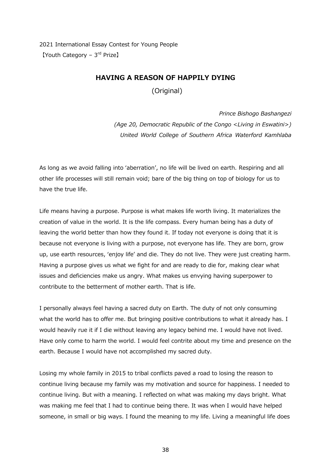2021 International Essay Contest for Young People  $[$ Youth Category –  $3<sup>rd</sup>$  Prize]

#### **HAVING A REASON OF HAPPILY DYING**

(Original)

*Prince Bishogo Bashangezi (Age 20, Democratic Republic of the Congo <Living in Eswatini>) United World College of Southern Africa Waterford Kamhlaba*

As long as we avoid falling into 'aberration', no life will be lived on earth. Respiring and all other life processes will still remain void; bare of the big thing on top of biology for us to have the true life.

Life means having a purpose. Purpose is what makes life worth living. It materializes the creation of value in the world. It is the life compass. Every human being has a duty of leaving the world better than how they found it. If today not everyone is doing that it is because not everyone is living with a purpose, not everyone has life. They are born, grow up, use earth resources, 'enjoy life' and die. They do not live. They were just creating harm. Having a purpose gives us what we fight for and are ready to die for, making clear what issues and deficiencies make us angry. What makes us envying having superpower to contribute to the betterment of mother earth. That is life.

I personally always feel having a sacred duty on Earth. The duty of not only consuming what the world has to offer me. But bringing positive contributions to what it already has. I would heavily rue it if I die without leaving any legacy behind me. I would have not lived. Have only come to harm the world. I would feel contrite about my time and presence on the earth. Because I would have not accomplished my sacred duty.

Losing my whole family in 2015 to tribal conflicts paved a road to losing the reason to continue living because my family was my motivation and source for happiness. I needed to continue living. But with a meaning. I reflected on what was making my days bright. What was making me feel that I had to continue being there. It was when I would have helped someone, in small or big ways. I found the meaning to my life. Living a meaningful life does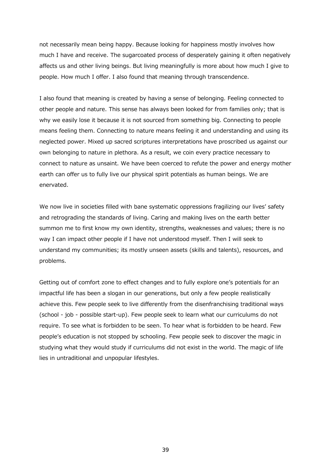not necessarily mean being happy. Because looking for happiness mostly involves how much I have and receive. The sugarcoated process of desperately gaining it often negatively affects us and other living beings. But living meaningfully is more about how much I give to people. How much I offer. I also found that meaning through transcendence.

I also found that meaning is created by having a sense of belonging. Feeling connected to other people and nature. This sense has always been looked for from families only; that is why we easily lose it because it is not sourced from something big. Connecting to people means feeling them. Connecting to nature means feeling it and understanding and using its neglected power. Mixed up sacred scriptures interpretations have proscribed us against our own belonging to nature in plethora. As a result, we coin every practice necessary to connect to nature as unsaint. We have been coerced to refute the power and energy mother earth can offer us to fully live our physical spirit potentials as human beings. We are enervated.

We now live in societies filled with bane systematic oppressions fragilizing our lives' safety and retrograding the standards of living. Caring and making lives on the earth better summon me to first know my own identity, strengths, weaknesses and values; there is no way I can impact other people if I have not understood myself. Then I will seek to understand my communities; its mostly unseen assets (skills and talents), resources, and problems.

Getting out of comfort zone to effect changes and to fully explore one's potentials for an impactful life has been a slogan in our generations, but only a few people realistically achieve this. Few people seek to live differently from the disenfranchising traditional ways (school - job - possible start-up). Few people seek to learn what our curriculums do not require. To see what is forbidden to be seen. To hear what is forbidden to be heard. Few people's education is not stopped by schooling. Few people seek to discover the magic in studying what they would study if curriculums did not exist in the world. The magic of life lies in untraditional and unpopular lifestyles.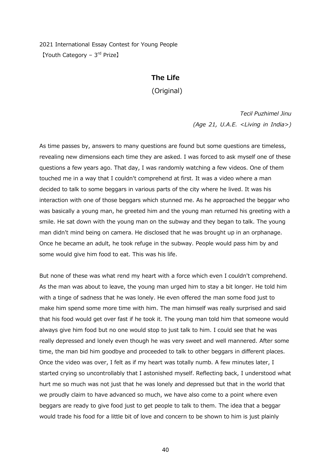2021 International Essay Contest for Young People 【Youth Category – 3rd Prize】

#### **The Life**

(Original)

*Tecil Puzhimel Jinu (Age 21, U.A.E. <Living in India>)* 

As time passes by, answers to many questions are found but some questions are timeless, revealing new dimensions each time they are asked. I was forced to ask myself one of these questions a few years ago. That day, I was randomly watching a few videos. One of them touched me in a way that I couldn't comprehend at first. It was a video where a man decided to talk to some beggars in various parts of the city where he lived. It was his interaction with one of those beggars which stunned me. As he approached the beggar who was basically a young man, he greeted him and the young man returned his greeting with a smile. He sat down with the young man on the subway and they began to talk. The young man didn't mind being on camera. He disclosed that he was brought up in an orphanage. Once he became an adult, he took refuge in the subway. People would pass him by and some would give him food to eat. This was his life.

But none of these was what rend my heart with a force which even I couldn't comprehend. As the man was about to leave, the young man urged him to stay a bit longer. He told him with a tinge of sadness that he was lonely. He even offered the man some food just to make him spend some more time with him. The man himself was really surprised and said that his food would get over fast if he took it. The young man told him that someone would always give him food but no one would stop to just talk to him. I could see that he was really depressed and lonely even though he was very sweet and well mannered. After some time, the man bid him goodbye and proceeded to talk to other beggars in different places. Once the video was over, I felt as if my heart was totally numb. A few minutes later, I started crying so uncontrollably that I astonished myself. Reflecting back, I understood what hurt me so much was not just that he was lonely and depressed but that in the world that we proudly claim to have advanced so much, we have also come to a point where even beggars are ready to give food just to get people to talk to them. The idea that a beggar would trade his food for a little bit of love and concern to be shown to him is just plainly